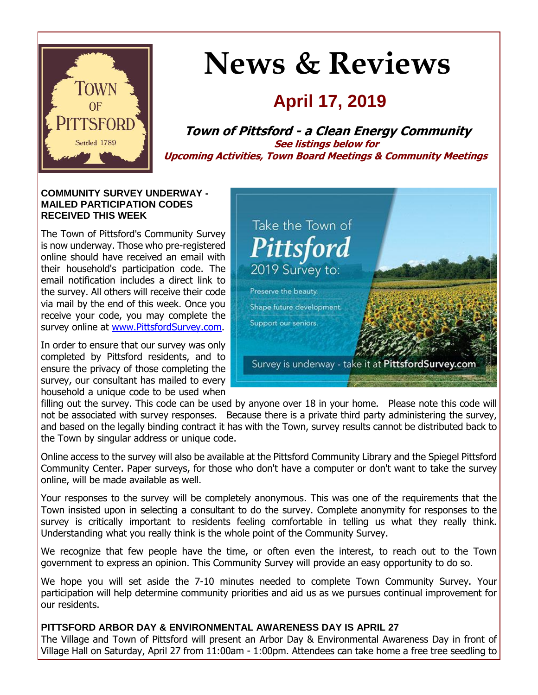

# **News & Reviews**

## **April 17, 2019**

**Town of Pittsford - a Clean Energy Community See listings below for Upcoming Activities, Town Board Meetings & Community Meetings**

#### **COMMUNITY SURVEY UNDERWAY - MAILED PARTICIPATION CODES RECEIVED THIS WEEK**

The Town of Pittsford's Community Survey is now underway. Those who pre-registered online should have received an email with their household's participation code. The email notification includes a direct link to the survey. All others will receive their code via mail by the end of this week. Once you receive your code, you may complete the survey online at [www.PittsfordSurvey.com.](http://r20.rs6.net/tn.jsp?f=0010WhpIaN9CJE1I3NgwKnmAmHeOIaZCIbSfsyCZ0m6sIkHXpkTlgYYCaJ4lB9EjcPi6k6G03yNakeOmd-a1TjyHv_EAj9zWa9tkzUMtZOGgfwbSMdWJieH0B1vV4rayO6jZB0OLT_mpMPS38n9K_YzUHpRXDxPqxfKx7zF73KcMTCQWG9J6NwTlX74HvL0RBLPDr8gTo7Dmcv4Gny9_gBzxcHysaswTYX-hpS8PE4SM4I-XpA8hfOXxbB5de0oz0xPiJLeFryXVkUKK5JjBfIteOUOxiaDB3QnRtd1H5F3rk0=&c=_NZOftr66sg-DT5rBq7bgE7eiFUkrcrPdBLmZ1E10xD5PggX6blLEA==&ch=Nt8Ia-I-ArhGPUvTyeb8vD8dyJYDeH-elopCLIyUrUQImC2KDd-UGQ==)

In order to ensure that our survey was only completed by Pittsford residents, and to ensure the privacy of those completing the survey, our consultant has mailed to every household a unique code to be used when



filling out the survey. This code can be used by anyone over 18 in your home. Please note this code will not be associated with survey responses. Because there is a private third party administering the survey, and based on the legally binding contract it has with the Town, survey results cannot be distributed back to the Town by singular address or unique code.

Online access to the survey will also be available at the Pittsford Community Library and the Spiegel Pittsford Community Center. Paper surveys, for those who don't have a computer or don't want to take the survey online, will be made available as well.

Your responses to the survey will be completely anonymous. This was one of the requirements that the Town insisted upon in selecting a consultant to do the survey. Complete anonymity for responses to the survey is critically important to residents feeling comfortable in telling us what they really think. Understanding what you really think is the whole point of the Community Survey.

We recognize that few people have the time, or often even the interest, to reach out to the Town government to express an opinion. This Community Survey will provide an easy opportunity to do so.

We hope you will set aside the 7-10 minutes needed to complete Town Community Survey. Your participation will help determine community priorities and aid us as we pursues continual improvement for our residents.

#### **PITTSFORD ARBOR DAY & ENVIRONMENTAL AWARENESS DAY IS APRIL 27**

The Village and Town of Pittsford will present an Arbor Day & Environmental Awareness Day in front of Village Hall on Saturday, April 27 from 11:00am - 1:00pm. Attendees can take home a free tree seedling to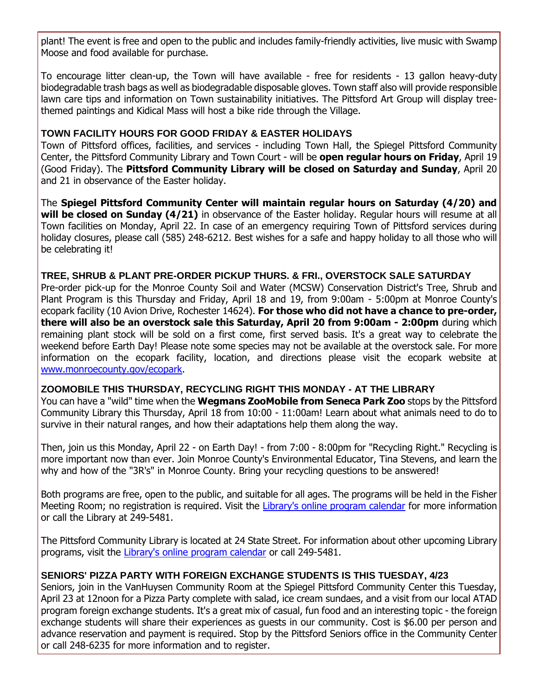plant! The event is free and open to the public and includes family-friendly activities, live music with Swamp Moose and food available for purchase.

To encourage litter clean-up, the Town will have available - free for residents - 13 gallon heavy-duty biodegradable trash bags as well as biodegradable disposable gloves. Town staff also will provide responsible lawn care tips and information on Town sustainability initiatives. The Pittsford Art Group will display treethemed paintings and Kidical Mass will host a bike ride through the Village.

#### **TOWN FACILITY HOURS FOR GOOD FRIDAY & EASTER HOLIDAYS**

Town of Pittsford offices, facilities, and services - including Town Hall, the Spiegel Pittsford Community Center, the Pittsford Community Library and Town Court - will be **open regular hours on Friday**, April 19 (Good Friday). The **Pittsford Community Library will be closed on Saturday and Sunday**, April 20 and 21 in observance of the Easter holiday.

The **Spiegel Pittsford Community Center will maintain regular hours on Saturday (4/20) and will be closed on Sunday (4/21)** in observance of the Easter holiday. Regular hours will resume at all Town facilities on Monday, April 22. In case of an emergency requiring Town of Pittsford services during holiday closures, please call (585) 248-6212. Best wishes for a safe and happy holiday to all those who will be celebrating it!

#### **TREE, SHRUB & PLANT PRE-ORDER PICKUP THURS. & FRI., OVERSTOCK SALE SATURDAY**

Pre-order pick-up for the Monroe County Soil and Water (MCSW) Conservation District's Tree, Shrub and Plant Program is this Thursday and Friday, April 18 and 19, from 9:00am - 5:00pm at Monroe County's ecopark facility (10 Avion Drive, Rochester 14624). **For those who did not have a chance to pre-order, there will also be an overstock sale this Saturday, April 20 from 9:00am - 2:00pm** during which remaining plant stock will be sold on a first come, first served basis. It's a great way to celebrate the weekend before Earth Day! Please note some species may not be available at the overstock sale. For more information on the ecopark facility, location, and directions please visit the ecopark website at [www.monroecounty.gov/ecopark.](http://r20.rs6.net/tn.jsp?f=0010WhpIaN9CJE1I3NgwKnmAmHeOIaZCIbSfsyCZ0m6sIkHXpkTlgYYCfN89Kxv16b2-5RSLFPkR-WzruI4UOd4_NqaoDhy26KEKo1-lUAhmA_EDWH0b8YJPw0R9lCinIKBBpW4fvZjsYCuuBmUT9d86MCAMk_eGPNeoM3vqrbN2nmPxw7-yi0L5IEAZb63Hq1QvHU3EOsSKRfe1lg6cpsNv5Nq9vBQyVxeLg3K6RdfE-O0gwlGmW5vS5cCQrfGGC2oiui8afiHTW7-pBlwM7GDQoUc6FFhhgIAKzxc9mTuQeQd27KRsAasBA==&c=_NZOftr66sg-DT5rBq7bgE7eiFUkrcrPdBLmZ1E10xD5PggX6blLEA==&ch=Nt8Ia-I-ArhGPUvTyeb8vD8dyJYDeH-elopCLIyUrUQImC2KDd-UGQ==)

#### **ZOOMOBILE THIS THURSDAY, RECYCLING RIGHT THIS MONDAY - AT THE LIBRARY**

You can have a "wild" time when the **Wegmans ZooMobile from Seneca Park Zoo** stops by the Pittsford Community Library this Thursday, April 18 from 10:00 - 11:00am! Learn about what animals need to do to survive in their natural ranges, and how their adaptations help them along the way.

Then, join us this Monday, April 22 - on Earth Day! - from 7:00 - 8:00pm for "Recycling Right." Recycling is more important now than ever. Join Monroe County's Environmental Educator, Tina Stevens, and learn the why and how of the "3R's" in Monroe County. Bring your recycling questions to be answered!

Both programs are free, open to the public, and suitable for all ages. The programs will be held in the Fisher Meeting Room; no registration is required. Visit the [Library's online program calendar](http://r20.rs6.net/tn.jsp?f=0010WhpIaN9CJE1I3NgwKnmAmHeOIaZCIbSfsyCZ0m6sIkHXpkTlgYYCY7tuB_15U-UZhNmfdq91nsYVGHrdd5sG14DkgxmeiuP2vL5nASN1PE-R3XIG0hYx7wg4a9KF9Sy-XmnWsGiCa94rMSbv31n8v_PrZOF9swNsibI6pScrUZsfbsrKD0ynPiQ6DeCyFfdCwT_uwfu_L3T3Kq_h4MbnymceoZgmQRiyOOvRRXtrGnBpIpBitLzbA6siD_ZuC6S8I9NP8XqW4w_x2vPKPicI3Jtq4WUn-9AYNFTH3mWtC7lGzh_9HFlSGfzA7YTk2lDv_ULAFvulJizNr3OiIuU_-9bdm0BS5wTPeVVtP6eg45SW93VfppS3fekiyaLwa8D0-HCuzCqRxhirRDCpj55T8VLdNo_GZXy&c=_NZOftr66sg-DT5rBq7bgE7eiFUkrcrPdBLmZ1E10xD5PggX6blLEA==&ch=Nt8Ia-I-ArhGPUvTyeb8vD8dyJYDeH-elopCLIyUrUQImC2KDd-UGQ==) for more information or call the Library at 249-5481.

The Pittsford Community Library is located at 24 State Street. For information about other upcoming Library programs, visit the [Library's online program calendar](http://r20.rs6.net/tn.jsp?f=0010WhpIaN9CJE1I3NgwKnmAmHeOIaZCIbSfsyCZ0m6sIkHXpkTlgYYCY7tuB_15U-UZhNmfdq91nsYVGHrdd5sG14DkgxmeiuP2vL5nASN1PE-R3XIG0hYx7wg4a9KF9Sy-XmnWsGiCa94rMSbv31n8v_PrZOF9swNsibI6pScrUZsfbsrKD0ynPiQ6DeCyFfdCwT_uwfu_L3T3Kq_h4MbnymceoZgmQRiyOOvRRXtrGnBpIpBitLzbA6siD_ZuC6S8I9NP8XqW4w_x2vPKPicI3Jtq4WUn-9AYNFTH3mWtC7lGzh_9HFlSGfzA7YTk2lDv_ULAFvulJizNr3OiIuU_-9bdm0BS5wTPeVVtP6eg45SW93VfppS3fekiyaLwa8D0-HCuzCqRxhirRDCpj55T8VLdNo_GZXy&c=_NZOftr66sg-DT5rBq7bgE7eiFUkrcrPdBLmZ1E10xD5PggX6blLEA==&ch=Nt8Ia-I-ArhGPUvTyeb8vD8dyJYDeH-elopCLIyUrUQImC2KDd-UGQ==) or call 249-5481.

#### **SENIORS' PIZZA PARTY WITH FOREIGN EXCHANGE STUDENTS IS THIS TUESDAY, 4/23**

Seniors, join in the VanHuysen Community Room at the Spiegel Pittsford Community Center this Tuesday, April 23 at 12noon for a Pizza Party complete with salad, ice cream sundaes, and a visit from our local ATAD program foreign exchange students. It's a great mix of casual, fun food and an interesting topic - the foreign exchange students will share their experiences as guests in our community. Cost is \$6.00 per person and advance reservation and payment is required. Stop by the Pittsford Seniors office in the Community Center or call 248-6235 for more information and to register.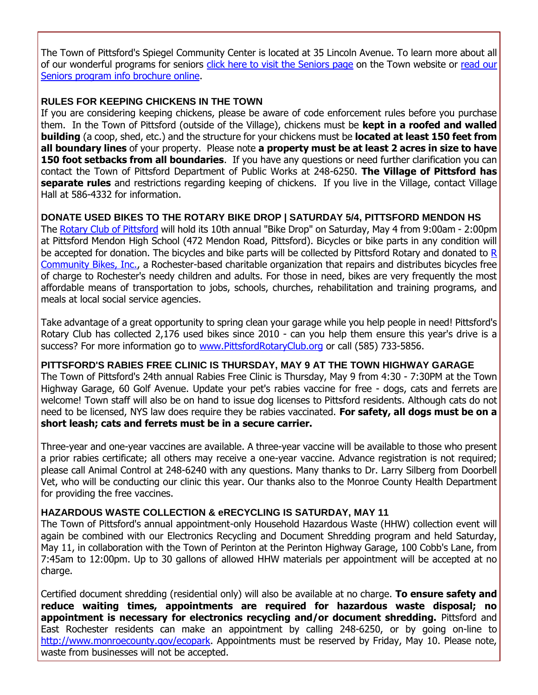The Town of Pittsford's Spiegel Community Center is located at 35 Lincoln Avenue. To learn more about all of our wonderful programs for seniors [click here to visit the Seniors page](http://r20.rs6.net/tn.jsp?f=0010WhpIaN9CJE1I3NgwKnmAmHeOIaZCIbSfsyCZ0m6sIkHXpkTlgYYCZl-MMADt9ZQGwmNOqZgRxrGWGSJnsf6v3Jd_sgoZbduV9AektoqtZYUVekBZtH57QOzexQ0M1D_c4hWeOhnXt28Y8HVKfj0vWH6Q2NwcnpHDhcC5Faldim4i5o1TTICniuUhyoYoKBBLq_xBrWz2nz00Von7Wtf_XADcZM5AKK9aE9dYNip8Tb83bq-YVO1YRzC1ojl8y8PxR64c2KoCC9KwzKKARhZ7tNp5FOYJc3oufCb0U5hs5UhmDKhI1gS-qQ4EXutDnnz&c=_NZOftr66sg-DT5rBq7bgE7eiFUkrcrPdBLmZ1E10xD5PggX6blLEA==&ch=Nt8Ia-I-ArhGPUvTyeb8vD8dyJYDeH-elopCLIyUrUQImC2KDd-UGQ==) on the Town website or [read our](http://r20.rs6.net/tn.jsp?f=0010WhpIaN9CJE1I3NgwKnmAmHeOIaZCIbSfsyCZ0m6sIkHXpkTlgYYCWiWruzRmggAteEGmiNYcyvIQgycIGhe8jHQeQ1qzQ6vqQEKE6j2-sB1mmkmwJfqYPFleCu1TLc-F7INQhqfUfc3G_F_Uop0zR_9gVspLWe9OUZTOnkd_KIznJpY4eSXssjpVVe6j54ht2WBKlALNZ_SRIFywDMcZsyCTXRx8KFr1PRWF2OpTSpvbFVvIrrSa_TfShtC-ayXGRaEagoJlNKQD-Mi_5fTCHk-HYDxNzywK9zVNrWRIV2KhhuQmjrytYQFX1vkKK18SHqTP3AfxYY9fkhg6mL1nTldQd4bayEnn_l2bdwqt1bzxbf5KJ0SJg==&c=_NZOftr66sg-DT5rBq7bgE7eiFUkrcrPdBLmZ1E10xD5PggX6blLEA==&ch=Nt8Ia-I-ArhGPUvTyeb8vD8dyJYDeH-elopCLIyUrUQImC2KDd-UGQ==)  [Seniors program info brochure online.](http://r20.rs6.net/tn.jsp?f=0010WhpIaN9CJE1I3NgwKnmAmHeOIaZCIbSfsyCZ0m6sIkHXpkTlgYYCWiWruzRmggAteEGmiNYcyvIQgycIGhe8jHQeQ1qzQ6vqQEKE6j2-sB1mmkmwJfqYPFleCu1TLc-F7INQhqfUfc3G_F_Uop0zR_9gVspLWe9OUZTOnkd_KIznJpY4eSXssjpVVe6j54ht2WBKlALNZ_SRIFywDMcZsyCTXRx8KFr1PRWF2OpTSpvbFVvIrrSa_TfShtC-ayXGRaEagoJlNKQD-Mi_5fTCHk-HYDxNzywK9zVNrWRIV2KhhuQmjrytYQFX1vkKK18SHqTP3AfxYY9fkhg6mL1nTldQd4bayEnn_l2bdwqt1bzxbf5KJ0SJg==&c=_NZOftr66sg-DT5rBq7bgE7eiFUkrcrPdBLmZ1E10xD5PggX6blLEA==&ch=Nt8Ia-I-ArhGPUvTyeb8vD8dyJYDeH-elopCLIyUrUQImC2KDd-UGQ==)

#### **RULES FOR KEEPING CHICKENS IN THE TOWN**

If you are considering keeping chickens, please be aware of code enforcement rules before you purchase them. In the Town of Pittsford (outside of the Village), chickens must be **kept in a roofed and walled building** (a coop, shed, etc.) and the structure for your chickens must be **located at least 150 feet from all boundary lines** of your property. Please note **a property must be at least 2 acres in size to have 150 foot setbacks from all boundaries**. If you have any questions or need further clarification you can contact the Town of Pittsford Department of Public Works at 248-6250. **The Village of Pittsford has separate rules** and restrictions regarding keeping of chickens. If you live in the Village, contact Village Hall at 586-4332 for information.

#### **DONATE USED BIKES TO THE ROTARY BIKE DROP | SATURDAY 5/4, PITTSFORD MENDON HS**

The [Rotary Club of Pittsford](http://r20.rs6.net/tn.jsp?f=0010WhpIaN9CJE1I3NgwKnmAmHeOIaZCIbSfsyCZ0m6sIkHXpkTlgYYCS-l9gvGM0-0-EmxnCrqjZUpDvvsYbLAi7KOgksXGaISkR1UAlv-X1XJ12B-i5gDkwwMzOM6ZxiVmrCGE6iQUpOLPpv8EDzSo84w1ChoBgDT_Wwp3PmfiSPbos4A39pCXV4caemzkZYGogkgU88sc5dPuvGYIUtc5h835V02kMgqX1ojxMfgRzUC1BUd2h5Sq-s8hQKFlA1rs91UJ0yvJRewzEuAfzOabrp3AypFgWnFjcQYtORlHiTBDlPqF-546w==&c=_NZOftr66sg-DT5rBq7bgE7eiFUkrcrPdBLmZ1E10xD5PggX6blLEA==&ch=Nt8Ia-I-ArhGPUvTyeb8vD8dyJYDeH-elopCLIyUrUQImC2KDd-UGQ==) will hold its 10th annual "Bike Drop" on Saturday, May 4 from 9:00am - 2:00pm at Pittsford Mendon High School (472 Mendon Road, Pittsford). Bicycles or bike parts in any condition will be accepted for donation. The bicycles and bike parts will be collected by Pittsford Rotary and donated to R [Community Bikes, Inc.,](http://r20.rs6.net/tn.jsp?f=0010WhpIaN9CJE1I3NgwKnmAmHeOIaZCIbSfsyCZ0m6sIkHXpkTlgYYCRVb-6EkhdPz3L6j7ifxhylEnqD_y7Rz0rNyUDkH2bnxN_W401pKLkB6LPRrg1XF50vfxWSo1_1mKM2UgRlDTdO8V3oFer-ixwiIXuqy61ukLlBxnzMg8dzTBsBRvM-UBxdLep67R0JruANiKanI4HFCoke9jxYScz2nhEAARJFVNlKiW1u9GN7pn8D0fD2ib_HpL1uvM_YYib2Kj4va_ZT6FY8O6EVvYBgreBVmBVP3dho_HlsT5GE=&c=_NZOftr66sg-DT5rBq7bgE7eiFUkrcrPdBLmZ1E10xD5PggX6blLEA==&ch=Nt8Ia-I-ArhGPUvTyeb8vD8dyJYDeH-elopCLIyUrUQImC2KDd-UGQ==) a Rochester-based charitable organization that repairs and distributes bicycles free of charge to Rochester's needy children and adults. For those in need, bikes are very frequently the most affordable means of transportation to jobs, schools, churches, rehabilitation and training programs, and meals at local social service agencies.

Take advantage of a great opportunity to spring clean your garage while you help people in need! Pittsford's Rotary Club has collected 2,176 used bikes since 2010 - can you help them ensure this year's drive is a success? For more information go to [www.PittsfordRotaryClub.org](http://r20.rs6.net/tn.jsp?f=0010WhpIaN9CJE1I3NgwKnmAmHeOIaZCIbSfsyCZ0m6sIkHXpkTlgYYCS-l9gvGM0-0-EmxnCrqjZUpDvvsYbLAi7KOgksXGaISkR1UAlv-X1XJ12B-i5gDkwwMzOM6ZxiVmrCGE6iQUpOLPpv8EDzSo84w1ChoBgDT_Wwp3PmfiSPbos4A39pCXV4caemzkZYGogkgU88sc5dPuvGYIUtc5h835V02kMgqX1ojxMfgRzUC1BUd2h5Sq-s8hQKFlA1rs91UJ0yvJRewzEuAfzOabrp3AypFgWnFjcQYtORlHiTBDlPqF-546w==&c=_NZOftr66sg-DT5rBq7bgE7eiFUkrcrPdBLmZ1E10xD5PggX6blLEA==&ch=Nt8Ia-I-ArhGPUvTyeb8vD8dyJYDeH-elopCLIyUrUQImC2KDd-UGQ==) or call (585) 733-5856.

#### **PITTSFORD'S RABIES FREE CLINIC IS THURSDAY, MAY 9 AT THE TOWN HIGHWAY GARAGE**

The Town of Pittsford's 24th annual Rabies Free Clinic is Thursday, May 9 from 4:30 - 7:30PM at the Town Highway Garage, 60 Golf Avenue. Update your pet's rabies vaccine for free - dogs, cats and ferrets are welcome! Town staff will also be on hand to issue dog licenses to Pittsford residents. Although cats do not need to be licensed, NYS law does require they be rabies vaccinated. **For safety, all dogs must be on a short leash; cats and ferrets must be in a secure carrier.**

Three-year and one-year vaccines are available. A three-year vaccine will be available to those who present a prior rabies certificate; all others may receive a one-year vaccine. Advance registration is not required; please call Animal Control at 248-6240 with any questions. Many thanks to Dr. Larry Silberg from Doorbell Vet, who will be conducting our clinic this year. Our thanks also to the Monroe County Health Department for providing the free vaccines.

#### **HAZARDOUS WASTE COLLECTION & eRECYCLING IS SATURDAY, MAY 11**

The Town of Pittsford's annual appointment-only Household Hazardous Waste (HHW) collection event will again be combined with our Electronics Recycling and Document Shredding program and held Saturday, May 11, in collaboration with the Town of Perinton at the Perinton Highway Garage, 100 Cobb's Lane, from 7:45am to 12:00pm. Up to 30 gallons of allowed HHW materials per appointment will be accepted at no charge.

Certified document shredding (residential only) will also be available at no charge. **To ensure safety and reduce waiting times, appointments are required for hazardous waste disposal; no appointment is necessary for electronics recycling and/or document shredding.** Pittsford and East Rochester residents can make an appointment by calling 248-6250, or by going on-line to [http://www.monroecounty.gov/ecopark.](http://r20.rs6.net/tn.jsp?f=0010WhpIaN9CJE1I3NgwKnmAmHeOIaZCIbSfsyCZ0m6sIkHXpkTlgYYCRVb-6EkhdPzjvfpfYWJ1j8cdVZlBT86x9hb4NntJuMh_yyHjQHWclNpLBG_4t7x5nJTVC3AZUZRceUvs8zAEW0fjUtKg4fLbUG6T5QlZ5hNItIgsU5pUxIPKbONtvjwAVo7zXUVUzPKSrACKM49ENatBDYZCZSbJkcHmiV33avHLYb0s01aVk8SzjK96UOVeyqAIc8JBpPCsqbl2M_q956zWWngmLuiv5fGgi0t1HB21KHCRaAqtUQ=&c=_NZOftr66sg-DT5rBq7bgE7eiFUkrcrPdBLmZ1E10xD5PggX6blLEA==&ch=Nt8Ia-I-ArhGPUvTyeb8vD8dyJYDeH-elopCLIyUrUQImC2KDd-UGQ==) Appointments must be reserved by Friday, May 10. Please note, waste from businesses will not be accepted.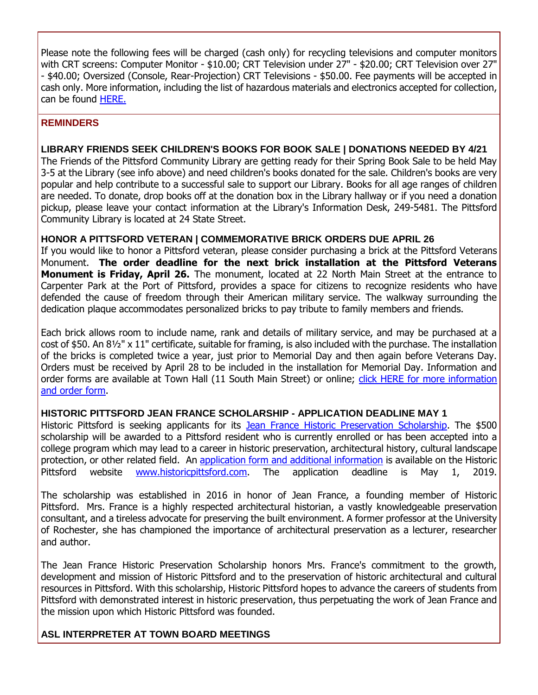Please note the following fees will be charged (cash only) for recycling televisions and computer monitors with CRT screens: Computer Monitor - \$10.00; CRT Television under 27" - \$20.00; CRT Television over 27" - \$40.00; Oversized (Console, Rear-Projection) CRT Televisions - \$50.00. Fee payments will be accepted in cash only. More information, including the list of hazardous materials and electronics accepted for collection, can be found [HERE.](http://r20.rs6.net/tn.jsp?f=0010WhpIaN9CJE1I3NgwKnmAmHeOIaZCIbSfsyCZ0m6sIkHXpkTlgYYCd7kXfovQ-giBj6juI1J-aEHxM7tnAOq2zfigMRHkeX5i4CizZxMnCmYVXbUbxmVT-ZHGfGx7Zy3mpW9tmSDJybCRbbH21BOfbjEM_B1U8203FvcUls8YbakxMtMmfSJAUlq-7U5IVqXfffTgZuCLDw4VhdP9JSUHovQeBnBnOt4Vg6LM8x5vrdD4bklbiRu47J3OI900FxpJh6EGg7HXf6QsoTr9QSqrYES3yjOk0Kkjudr29SDke6zTIeOBOHpSlqlzygqNxkkchgtPZgamUdGVEDw941zTqc0tSTehy7Vd0pOJ-t3FcE=&c=_NZOftr66sg-DT5rBq7bgE7eiFUkrcrPdBLmZ1E10xD5PggX6blLEA==&ch=Nt8Ia-I-ArhGPUvTyeb8vD8dyJYDeH-elopCLIyUrUQImC2KDd-UGQ==)

#### **REMINDERS**

#### **LIBRARY FRIENDS SEEK CHILDREN'S BOOKS FOR BOOK SALE | DONATIONS NEEDED BY 4/21**

The Friends of the Pittsford Community Library are getting ready for their Spring Book Sale to be held May 3-5 at the Library (see info above) and need children's books donated for the sale. Children's books are very popular and help contribute to a successful sale to support our Library. Books for all age ranges of children are needed. To donate, drop books off at the donation box in the Library hallway or if you need a donation pickup, please leave your contact information at the Library's Information Desk, 249-5481. The Pittsford Community Library is located at 24 State Street.

#### **HONOR A PITTSFORD VETERAN | COMMEMORATIVE BRICK ORDERS DUE APRIL 26**

If you would like to honor a Pittsford veteran, please consider purchasing a brick at the Pittsford Veterans Monument. **The order deadline for the next brick installation at the Pittsford Veterans Monument is Friday, April 26.** The monument, located at 22 North Main Street at the entrance to Carpenter Park at the Port of Pittsford, provides a space for citizens to recognize residents who have defended the cause of freedom through their American military service. The walkway surrounding the dedication plaque accommodates personalized bricks to pay tribute to family members and friends.

Each brick allows room to include name, rank and details of military service, and may be purchased at a cost of \$50. An 8½" x 11" certificate, suitable for framing, is also included with the purchase. The installation of the bricks is completed twice a year, just prior to Memorial Day and then again before Veterans Day. Orders must be received by April 28 to be included in the installation for Memorial Day. Information and order forms are available at Town Hall (11 South Main Street) or online; click HERE for more information [and order form.](http://r20.rs6.net/tn.jsp?f=0010WhpIaN9CJE1I3NgwKnmAmHeOIaZCIbSfsyCZ0m6sIkHXpkTlgYYCZl-MMADt9ZQOzVuBxOrCPMi0ZeS69C63NlAckrH8O3c0doOyF82MN5F1LJyJFb41B8YTN1kDU0SGWk3ouRMeOVizDRKfn14n6YmyJUI01FBRiQy8_rn-bBAoZ-4KIg0ZKv_oDNU9-MBXwpO62uCXFyrsC-JJVfnIdkzp3BgDytpgyiJNGzxCx97nzwgalTNIcs9OmvmAfM7pyjYDADV7w_qYW_UYnpUz6PXRhoIMHvgVE7zwD0tGCgRqtIci89p5g==&c=_NZOftr66sg-DT5rBq7bgE7eiFUkrcrPdBLmZ1E10xD5PggX6blLEA==&ch=Nt8Ia-I-ArhGPUvTyeb8vD8dyJYDeH-elopCLIyUrUQImC2KDd-UGQ==)

#### **HISTORIC PITTSFORD JEAN FRANCE SCHOLARSHIP - APPLICATION DEADLINE MAY 1**

Historic Pittsford is seeking applicants for its [Jean France Historic Preservation Scholarship.](http://r20.rs6.net/tn.jsp?f=0010WhpIaN9CJE1I3NgwKnmAmHeOIaZCIbSfsyCZ0m6sIkHXpkTlgYYCZQL_2ozSU6jhRKz--Q50ik392BJTASSiW-yecwvbeDyhWdezi0PNBbqzjSjKR2gCbVqZUdpk1ZxP48iDBVJm_i87RM5X0fOLq9IMKzZJMx7YxMRXBWoV_or-hVrhtmAtVkyZU7i2gW9SbAlpewK7vx5184wZtb1J64TsusiJiTaGqKyyW8ARVgtKE7hA3qUeqcUhiFSoiT2kBhh2NOsA2oM3FYsBQHzsFeKIulV0satBl-eMTNrV6Sn3hWbufRwUHg7-yUlCCUh&c=_NZOftr66sg-DT5rBq7bgE7eiFUkrcrPdBLmZ1E10xD5PggX6blLEA==&ch=Nt8Ia-I-ArhGPUvTyeb8vD8dyJYDeH-elopCLIyUrUQImC2KDd-UGQ==) The \$500 scholarship will be awarded to a Pittsford resident who is currently enrolled or has been accepted into a college program which may lead to a career in historic preservation, architectural history, cultural landscape protection, or other related field. An [application form and additional information](http://r20.rs6.net/tn.jsp?f=0010WhpIaN9CJE1I3NgwKnmAmHeOIaZCIbSfsyCZ0m6sIkHXpkTlgYYCZrbX3Ya1v4GHhvOoPRCkP5GzW2wQqEIiYYa-pJCZSGYvnc7Kv7bRHHVYVpPuItVK13At1XLBXYkuQxwxFQI4QctdtULpDZ2xoMDQrMrgt0tu-6fG3k3oMsx6IPgUC48tqynoqzbdN-vkuAfswbvz2S1LWEkf3O-1kgY_J6460luAu5MTT_gpSpzy569M-iJ12YcwRmI53fUwpLKY7H0Whwh0wwodr2yGcBfvkUm_vuZvCMM3PGpua7_VDH1t6hgJ4U2zLy5wXq_zSYw5QlkoSvX5kX4-MMXv1zH2G_U8OtvUbJS5mUEpRI=&c=_NZOftr66sg-DT5rBq7bgE7eiFUkrcrPdBLmZ1E10xD5PggX6blLEA==&ch=Nt8Ia-I-ArhGPUvTyeb8vD8dyJYDeH-elopCLIyUrUQImC2KDd-UGQ==) is available on the Historic Pittsford website [www.historicpittsford.com.](http://r20.rs6.net/tn.jsp?f=0010WhpIaN9CJE1I3NgwKnmAmHeOIaZCIbSfsyCZ0m6sIkHXpkTlgYYCZk-1ulEVfFmPUhoyBfiDYx1PyxinzbxGe0f735blZSSFw8G62L0lXUpzrURDCy5PMH6u_pMtViIYsw1yx72VkOhIAc4ZwhgZBwEC-0H6rfutF67_NBBMyBaA_YelbP-Z3f8pXMo4oFdhTlhVTyv1dshVAwaPuzGLi9FPE1ewwXGdoqtKst4CkicQ91chSBneYgGh0JMswuOnwDDYXI68kUmVyt_rQjFCF-rDRoYRw99hHZHoronmeI=&c=_NZOftr66sg-DT5rBq7bgE7eiFUkrcrPdBLmZ1E10xD5PggX6blLEA==&ch=Nt8Ia-I-ArhGPUvTyeb8vD8dyJYDeH-elopCLIyUrUQImC2KDd-UGQ==) The application deadline is May 1, 2019.

The scholarship was established in 2016 in honor of Jean France, a founding member of Historic Pittsford. Mrs. France is a highly respected architectural historian, a vastly knowledgeable preservation consultant, and a tireless advocate for preserving the built environment. A former professor at the University of Rochester, she has championed the importance of architectural preservation as a lecturer, researcher and author.

The Jean France Historic Preservation Scholarship honors Mrs. France's commitment to the growth, development and mission of Historic Pittsford and to the preservation of historic architectural and cultural resources in Pittsford. With this scholarship, Historic Pittsford hopes to advance the careers of students from Pittsford with demonstrated interest in historic preservation, thus perpetuating the work of Jean France and the mission upon which Historic Pittsford was founded.

#### **ASL INTERPRETER AT TOWN BOARD MEETINGS**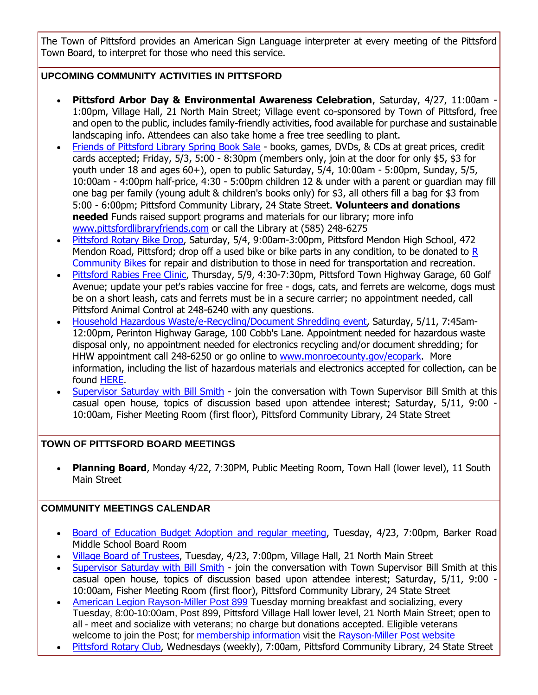The Town of Pittsford provides an American Sign Language interpreter at every meeting of the Pittsford Town Board, to interpret for those who need this service.

#### **UPCOMING COMMUNITY ACTIVITIES IN PITTSFORD**

- **Pittsford Arbor Day & Environmental Awareness Celebration**, Saturday, 4/27, 11:00am 1:00pm, Village Hall, 21 North Main Street; Village event co-sponsored by Town of Pittsford, free and open to the public, includes family-friendly activities, food available for purchase and sustainable landscaping info. Attendees can also take home a free tree seedling to plant.
- [Friends of Pittsford Library Spring Book Sale](http://r20.rs6.net/tn.jsp?f=0010WhpIaN9CJE1I3NgwKnmAmHeOIaZCIbSfsyCZ0m6sIkHXpkTlgYYCZVdw8GJre8fmpTcpUE3WZV_vOIq6WBW8lUm6gaftTChZTLPTnIDqrpnSeww53lZQZDHZYzvl-rvDH9KhCzvCge13gh7Enoxzw-8OD9CViYaZtqhplCtnlFVyLyXkZVJDSkRbWt0G-WI9qqufqJyRqAWitAaMiVOpGLM-bRallRF4ypzgpKOdWctQQoWrxH0FKmnuJmRsv3mh0Y6z7eDo2PCwg9FFWdSOgfyBaTpx-3IjF-SlrqBfhPFHzHaYgKLVJXIO6D7Nux2&c=_NZOftr66sg-DT5rBq7bgE7eiFUkrcrPdBLmZ1E10xD5PggX6blLEA==&ch=Nt8Ia-I-ArhGPUvTyeb8vD8dyJYDeH-elopCLIyUrUQImC2KDd-UGQ==) books, games, DVDs, & CDs at great prices, credit cards accepted; Friday, 5/3, 5:00 - 8:30pm (members only, join at the door for only \$5, \$3 for youth under 18 and ages 60+), open to public Saturday, 5/4, 10:00am - 5:00pm, Sunday, 5/5, 10:00am - 4:00pm half-price, 4:30 - 5:00pm children 12 & under with a parent or guardian may fill one bag per family (young adult & children's books only) for \$3, all others fill a bag for \$3 from 5:00 - 6:00pm; Pittsford Community Library, 24 State Street. **Volunteers and donations needed** Funds raised support programs and materials for our library; more info [www.pittsfordlibraryfriends.com](http://r20.rs6.net/tn.jsp?f=0010WhpIaN9CJE1I3NgwKnmAmHeOIaZCIbSfsyCZ0m6sIkHXpkTlgYYCZVdw8GJre8fg-7qZu3pQ-UIQdsjH13wd1v8neBYZXw-JV5Z1qO6XEx6Obk3TKQaHxR09Z39xcOAcWstw71c5aYMAKp2K1m9MTD2CLTbaKEqE1rCSf-1h6Ih6t1scVuzQ0fCRdAGe81TsUFpKxJ8JEAdAXHTBfd6FGWbGSHCT7kD3nQMhX_jB9z-ALDNeitC07FBMMN3X-lzS0GVXQJfnL4RWSVWlWXYwdYqcvAOFUlSn9uzL3IylBcEvATTsdxLlg==&c=_NZOftr66sg-DT5rBq7bgE7eiFUkrcrPdBLmZ1E10xD5PggX6blLEA==&ch=Nt8Ia-I-ArhGPUvTyeb8vD8dyJYDeH-elopCLIyUrUQImC2KDd-UGQ==) or call the Library at (585) 248-6275
- [Pittsford Rotary Bike](http://r20.rs6.net/tn.jsp?f=0010WhpIaN9CJE1I3NgwKnmAmHeOIaZCIbSfsyCZ0m6sIkHXpkTlgYYCS-l9gvGM0-0-EmxnCrqjZUpDvvsYbLAi7KOgksXGaISkR1UAlv-X1XJ12B-i5gDkwwMzOM6ZxiVmrCGE6iQUpOLPpv8EDzSo84w1ChoBgDT_Wwp3PmfiSPbos4A39pCXV4caemzkZYGogkgU88sc5dPuvGYIUtc5h835V02kMgqX1ojxMfgRzUC1BUd2h5Sq-s8hQKFlA1rs91UJ0yvJRewzEuAfzOabrp3AypFgWnFjcQYtORlHiTBDlPqF-546w==&c=_NZOftr66sg-DT5rBq7bgE7eiFUkrcrPdBLmZ1E10xD5PggX6blLEA==&ch=Nt8Ia-I-ArhGPUvTyeb8vD8dyJYDeH-elopCLIyUrUQImC2KDd-UGQ==) Drop, Saturday, 5/4, 9:00am-3:00pm, Pittsford Mendon High School, 472 Mendon Road, Pittsford; drop off a used bike or bike parts in any condition, to be donated to [R](http://r20.rs6.net/tn.jsp?f=0010WhpIaN9CJE1I3NgwKnmAmHeOIaZCIbSfsyCZ0m6sIkHXpkTlgYYCRVb-6EkhdPz3L6j7ifxhylEnqD_y7Rz0rNyUDkH2bnxN_W401pKLkB6LPRrg1XF50vfxWSo1_1mKM2UgRlDTdO8V3oFer-ixwiIXuqy61ukLlBxnzMg8dzTBsBRvM-UBxdLep67R0JruANiKanI4HFCoke9jxYScz2nhEAARJFVNlKiW1u9GN7pn8D0fD2ib_HpL1uvM_YYib2Kj4va_ZT6FY8O6EVvYBgreBVmBVP3dho_HlsT5GE=&c=_NZOftr66sg-DT5rBq7bgE7eiFUkrcrPdBLmZ1E10xD5PggX6blLEA==&ch=Nt8Ia-I-ArhGPUvTyeb8vD8dyJYDeH-elopCLIyUrUQImC2KDd-UGQ==)  [Community Bikes](http://r20.rs6.net/tn.jsp?f=0010WhpIaN9CJE1I3NgwKnmAmHeOIaZCIbSfsyCZ0m6sIkHXpkTlgYYCRVb-6EkhdPz3L6j7ifxhylEnqD_y7Rz0rNyUDkH2bnxN_W401pKLkB6LPRrg1XF50vfxWSo1_1mKM2UgRlDTdO8V3oFer-ixwiIXuqy61ukLlBxnzMg8dzTBsBRvM-UBxdLep67R0JruANiKanI4HFCoke9jxYScz2nhEAARJFVNlKiW1u9GN7pn8D0fD2ib_HpL1uvM_YYib2Kj4va_ZT6FY8O6EVvYBgreBVmBVP3dho_HlsT5GE=&c=_NZOftr66sg-DT5rBq7bgE7eiFUkrcrPdBLmZ1E10xD5PggX6blLEA==&ch=Nt8Ia-I-ArhGPUvTyeb8vD8dyJYDeH-elopCLIyUrUQImC2KDd-UGQ==) for repair and distribution to those in need for transportation and recreation.
- [Pittsford Rabies Free Clinic,](http://r20.rs6.net/tn.jsp?f=0010WhpIaN9CJE1I3NgwKnmAmHeOIaZCIbSfsyCZ0m6sIkHXpkTlgYYCd7kXfovQ-giXZFWL1xLiybNHKmtqJDbjvXdhJSkpWim08xfzvSBdllEsgsikvg38oTVvfoAqhr9jmjSd3V4cmlJ3QTA35ZJWjqYJ2x6A6okYTaIfb53vYvU3NUGVISNuaFUzVvIiejrJiSjT-5wui8MFJwkSUNT1aT1OW79w6LjWeoz1FfMQP-2eiZopwoiqBhNm_s59lwAYDZSJUFhVyKhC2oqRb0M9FGhC494R6JdYTHe1vryWYPMD8GYVo9Rxgoewz9JFHZkCyoff62NUcVmSlZT8IyPzMWxJ-Tr12wp&c=_NZOftr66sg-DT5rBq7bgE7eiFUkrcrPdBLmZ1E10xD5PggX6blLEA==&ch=Nt8Ia-I-ArhGPUvTyeb8vD8dyJYDeH-elopCLIyUrUQImC2KDd-UGQ==) Thursday, 5/9, 4:30-7:30pm, Pittsford Town Highway Garage, 60 Golf Avenue; update your pet's rabies vaccine for free - dogs, cats, and ferrets are welcome, dogs must be on a short leash, cats and ferrets must be in a secure carrier; no appointment needed, call Pittsford Animal Control at 248-6240 with any questions.
- [Household Hazardous Waste/e-Recycling/Document Shredding event,](http://r20.rs6.net/tn.jsp?f=0010WhpIaN9CJE1I3NgwKnmAmHeOIaZCIbSfsyCZ0m6sIkHXpkTlgYYCd7kXfovQ-giiXQmB7Wkr6Kqt4jdplBliUEs-QJL7eZPn4JLhh6c7z4SG9EY0ie_fXf4xg9LpgReTYbGmc0WVYntqeuZwZidmnBOMKPm6gO2eNJl8Z4rqg0KOqV67IqD7x0N1rpdjNhNMAQSZzdv4erdBncgMPg4fn3pgN2zDooLb1nOs85YSqQWClCq1Ld0wovEGvUrGvNIEaKsL1fMZpPggLlt0-IL2bdVCidXSQBqqnB5dWUpaWEwU7_yyihCR2tWhS7V7kP1Ua8nvPABQGGEvP-lQ8r21Vx732UX6V-z0pyOMkg3wE4Xxtq79y4mQg==&c=_NZOftr66sg-DT5rBq7bgE7eiFUkrcrPdBLmZ1E10xD5PggX6blLEA==&ch=Nt8Ia-I-ArhGPUvTyeb8vD8dyJYDeH-elopCLIyUrUQImC2KDd-UGQ==) Saturday, 5/11, 7:45am-12:00pm, Perinton Highway Garage, 100 Cobb's Lane. Appointment needed for hazardous waste disposal only, no appointment needed for electronics recycling and/or document shredding; for HHW appointment call 248-6250 or go online to [www.monroecounty.gov/ecopark.](http://r20.rs6.net/tn.jsp?f=0010WhpIaN9CJE1I3NgwKnmAmHeOIaZCIbSfsyCZ0m6sIkHXpkTlgYYCRVb-6EkhdPzjvfpfYWJ1j8cdVZlBT86x9hb4NntJuMh_yyHjQHWclNpLBG_4t7x5nJTVC3AZUZRceUvs8zAEW0fjUtKg4fLbUG6T5QlZ5hNItIgsU5pUxIPKbONtvjwAVo7zXUVUzPKSrACKM49ENatBDYZCZSbJkcHmiV33avHLYb0s01aVk8SzjK96UOVeyqAIc8JBpPCsqbl2M_q956zWWngmLuiv5fGgi0t1HB21KHCRaAqtUQ=&c=_NZOftr66sg-DT5rBq7bgE7eiFUkrcrPdBLmZ1E10xD5PggX6blLEA==&ch=Nt8Ia-I-ArhGPUvTyeb8vD8dyJYDeH-elopCLIyUrUQImC2KDd-UGQ==) More information, including the list of hazardous materials and electronics accepted for collection, can be found [HERE.](http://r20.rs6.net/tn.jsp?f=0010WhpIaN9CJE1I3NgwKnmAmHeOIaZCIbSfsyCZ0m6sIkHXpkTlgYYCd7kXfovQ-giiXQmB7Wkr6Kqt4jdplBliUEs-QJL7eZPn4JLhh6c7z4SG9EY0ie_fXf4xg9LpgReTYbGmc0WVYntqeuZwZidmnBOMKPm6gO2eNJl8Z4rqg0KOqV67IqD7x0N1rpdjNhNMAQSZzdv4erdBncgMPg4fn3pgN2zDooLb1nOs85YSqQWClCq1Ld0wovEGvUrGvNIEaKsL1fMZpPggLlt0-IL2bdVCidXSQBqqnB5dWUpaWEwU7_yyihCR2tWhS7V7kP1Ua8nvPABQGGEvP-lQ8r21Vx732UX6V-z0pyOMkg3wE4Xxtq79y4mQg==&c=_NZOftr66sg-DT5rBq7bgE7eiFUkrcrPdBLmZ1E10xD5PggX6blLEA==&ch=Nt8Ia-I-ArhGPUvTyeb8vD8dyJYDeH-elopCLIyUrUQImC2KDd-UGQ==)
- [Supervisor Saturday with Bill Smith](http://r20.rs6.net/tn.jsp?f=0010WhpIaN9CJE1I3NgwKnmAmHeOIaZCIbSfsyCZ0m6sIkHXpkTlgYYCaJ4lB9EjcPis9cRwMsVxbPfcIeWFiIqKcypaDooj-cKN6QiFVhS48RAizSWKV9Ua213ROTIv6tmYojRABdLxl1675xOXSnctnFBwribvKU-SNUQ7nspB6dSsV5V1FwcxBVh2ycSh-AUtYhIpYd8N5t5GQ7zCVRiq8MZfEN72tG5AbzkRQDLIU0UYZpqnMBQqXt1QNbnGavU93BoswOEwkdaIpPJ1yPj7MLwOUxvGzTLvaB3krEx_k0dJjwoqM7DqogU7Ba4EnQ5wKbSNIz2xAsxVOBep-b89xTBJA4xCijHyzb53Kq8ABU=&c=_NZOftr66sg-DT5rBq7bgE7eiFUkrcrPdBLmZ1E10xD5PggX6blLEA==&ch=Nt8Ia-I-ArhGPUvTyeb8vD8dyJYDeH-elopCLIyUrUQImC2KDd-UGQ==) join the conversation with Town Supervisor Bill Smith at this casual open house, topics of discussion based upon attendee interest; Saturday, 5/11, 9:00 - 10:00am, Fisher Meeting Room (first floor), Pittsford Community Library, 24 State Street

#### **TOWN OF PITTSFORD BOARD MEETINGS**

 **Planning Board**, Monday 4/22, 7:30PM, Public Meeting Room, Town Hall (lower level), 11 South Main Street

#### **COMMUNITY MEETINGS CALENDAR**

- [Board of Education Budget Adoption and regular meeting,](http://r20.rs6.net/tn.jsp?f=0010WhpIaN9CJE1I3NgwKnmAmHeOIaZCIbSfsyCZ0m6sIkHXpkTlgYYCbZmlzxRZ0VI33mu1IxLHrONzVnwtroKp3H-Gvw-NmgdAXRem5T0nRu8pO-2aoYRBTWz39pp0_00mTTtnI7fD_PWOB20Z0qzkI2cmXSfkq0obnCd8vM2WpaM2SAw3mLj9gQzBUyclSGUi3AdN8FrAdSGUsOAH-WyLzzgmu9uLxAbIZqja1RSzz_loSWm4ozeRzsE4na7Zs6l7KK34eyrFpdQLJztNZXLMFvVKGXMrcsBLXzc3kQNqAIulbawVsFO1Zmlx5mew10kOZsnJpAxRTKkBOgKmUQrvquLtoN2IbHDfaO8uZbAv_B53tguko7yoCOtCwcjVsqZnthk6QFxnXcNc7rVQeeOvNglQxxboMFb&c=_NZOftr66sg-DT5rBq7bgE7eiFUkrcrPdBLmZ1E10xD5PggX6blLEA==&ch=Nt8Ia-I-ArhGPUvTyeb8vD8dyJYDeH-elopCLIyUrUQImC2KDd-UGQ==) Tuesday, 4/23, 7:00pm, Barker Road Middle School Board Room
- [Village Board of Trustees,](http://www.villageofpittsford.com/?utm_source=eNews+04-17-19&utm_campaign=eNews+04-17-19&utm_medium=email) Tuesday, 4/23, 7:00pm, Village Hall, 21 North Main Street
- [Supervisor Saturday with Bill Smith](http://r20.rs6.net/tn.jsp?f=0010WhpIaN9CJE1I3NgwKnmAmHeOIaZCIbSfsyCZ0m6sIkHXpkTlgYYCaJ4lB9EjcPis9cRwMsVxbPfcIeWFiIqKcypaDooj-cKN6QiFVhS48RAizSWKV9Ua213ROTIv6tmYojRABdLxl1675xOXSnctnFBwribvKU-SNUQ7nspB6dSsV5V1FwcxBVh2ycSh-AUtYhIpYd8N5t5GQ7zCVRiq8MZfEN72tG5AbzkRQDLIU0UYZpqnMBQqXt1QNbnGavU93BoswOEwkdaIpPJ1yPj7MLwOUxvGzTLvaB3krEx_k0dJjwoqM7DqogU7Ba4EnQ5wKbSNIz2xAsxVOBep-b89xTBJA4xCijHyzb53Kq8ABU=&c=_NZOftr66sg-DT5rBq7bgE7eiFUkrcrPdBLmZ1E10xD5PggX6blLEA==&ch=Nt8Ia-I-ArhGPUvTyeb8vD8dyJYDeH-elopCLIyUrUQImC2KDd-UGQ==) join the conversation with Town Supervisor Bill Smith at this casual open house, topics of discussion based upon attendee interest; Saturday, 5/11, 9:00 - 10:00am, Fisher Meeting Room (first floor), Pittsford Community Library, 24 State Street
- [American Legion Rayson-Miller Post 899](http://r20.rs6.net/tn.jsp?f=0010WhpIaN9CJE1I3NgwKnmAmHeOIaZCIbSfsyCZ0m6sIkHXpkTlgYYCThE-rg4yaQ89AsE-xOWc-ZnS8Vx3i064X_AHGjk7aEYI7baToWLFfkUEz-u7ejedT9cvSln1FjPnIwBuHt58uTzjYv5g2yb6KNjH83SY6UqcB6lGTQYdLU7eQSuYouBKO0VTNMxP0b1x21RU-jATQ2aVpm7iwlatS6ZYvIRV-9f9v6AVutjS83rpKM_p2USypwKDYPHrVfaTJCA9E269cFDYX4q239C0BZIxvgxl9b9Bxj1SDL_TPyo2UzP8xi5iQ==&c=_NZOftr66sg-DT5rBq7bgE7eiFUkrcrPdBLmZ1E10xD5PggX6blLEA==&ch=Nt8Ia-I-ArhGPUvTyeb8vD8dyJYDeH-elopCLIyUrUQImC2KDd-UGQ==) Tuesday morning breakfast and socializing, every Tuesday, 8:00-10:00am, Post 899, Pittsford Village Hall lower level, 21 North Main Street; open to all - meet and socialize with veterans; no charge but donations accepted. Eligible veterans welcome to join the Post; for [membership information](http://r20.rs6.net/tn.jsp?f=0010WhpIaN9CJE1I3NgwKnmAmHeOIaZCIbSfsyCZ0m6sIkHXpkTlgYYCThE-rg4yaQ8diBeJwWZP5pF02CDQQs-mtTIJtbzVRYQd5rQGv-BWAy8yZDKjhcxvl456J6vx5TfnjEAVXP691C26I6UfT93mNaCMtGlkgDSo2mzj62gWBl5xs7Ru_3jqKHDh6ZvllZNZ2uslpYskS8WCAmUojFwRjxZSR8pvmYXFxo3bPW_V_QgxtTyw06a9Ac6RERTwH2ycYHIRB4TjbdIkhnNj98btUb3p-Dn248DQYNWXxx1KXDJzyq_RAoOQxYTSgazNGrHSNlwSXII_oY=&c=_NZOftr66sg-DT5rBq7bgE7eiFUkrcrPdBLmZ1E10xD5PggX6blLEA==&ch=Nt8Ia-I-ArhGPUvTyeb8vD8dyJYDeH-elopCLIyUrUQImC2KDd-UGQ==) visit the [Rayson-Miller Post website](http://r20.rs6.net/tn.jsp?f=0010WhpIaN9CJE1I3NgwKnmAmHeOIaZCIbSfsyCZ0m6sIkHXpkTlgYYCcWZbVWTvXdLbJPUprQ1tNRJBytuyguEEmuYpOhLrt9Yf7GpNT_W6cllNgkZoQdeAPRwY6yttlJ0tku9deK1skq0Xsv3KRJ-cXuxebIZC8z9YsvDdbdg07GncqhP0GXWOes-ecTHTaitRG6YzKmCGG79YzYE8q1IRtaIKwR3pQDJ5Jm64T_vPLSK2U133JG7wq8DYV-VgMRNVmEBjehQ6yxVazPiZDI0h3AxwMB_a56yHiwye1Vqr5A9RHr0VpuU-QSDQGzegpSUslwgCkLvTwAsNiFK4GhJBbqmaelpTxwLEXvHqlG0BLdzfRBzrW3vYqIqmFJTKhwexnBK-4Kc9bY=&c=_NZOftr66sg-DT5rBq7bgE7eiFUkrcrPdBLmZ1E10xD5PggX6blLEA==&ch=Nt8Ia-I-ArhGPUvTyeb8vD8dyJYDeH-elopCLIyUrUQImC2KDd-UGQ==)
- [Pittsford Rotary Club,](http://r20.rs6.net/tn.jsp?f=0010WhpIaN9CJE1I3NgwKnmAmHeOIaZCIbSfsyCZ0m6sIkHXpkTlgYYCS-l9gvGM0-0-EmxnCrqjZUpDvvsYbLAi7KOgksXGaISkR1UAlv-X1XJ12B-i5gDkwwMzOM6ZxiVmrCGE6iQUpOLPpv8EDzSo84w1ChoBgDT_Wwp3PmfiSPbos4A39pCXV4caemzkZYGogkgU88sc5dPuvGYIUtc5h835V02kMgqX1ojxMfgRzUC1BUd2h5Sq-s8hQKFlA1rs91UJ0yvJRewzEuAfzOabrp3AypFgWnFjcQYtORlHiTBDlPqF-546w==&c=_NZOftr66sg-DT5rBq7bgE7eiFUkrcrPdBLmZ1E10xD5PggX6blLEA==&ch=Nt8Ia-I-ArhGPUvTyeb8vD8dyJYDeH-elopCLIyUrUQImC2KDd-UGQ==) Wednesdays (weekly), 7:00am, Pittsford Community Library, 24 State Street